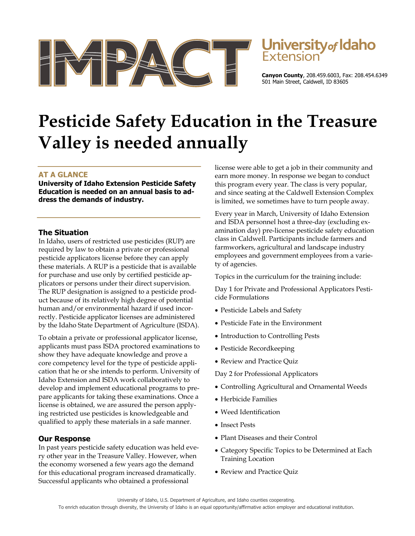



**Canyon County**, 208.459.6003, Fax: 208.454.6349 501 Main Street, Caldwell, ID 83605

# **Pesticide Safety Education in the Treasure Valley is needed annually**

# **AT A GLANCE**

**University of Idaho Extension Pesticide Safety Education is needed on an annual basis to address the demands of industry.** 

## **The Situation**

In Idaho, users of restricted use pesticides (RUP) are required by law to obtain a private or professional pesticide applicators license before they can apply these materials. A RUP is a pesticide that is available for purchase and use only by certified pesticide applicators or persons under their direct supervision. The RUP designation is assigned to a pesticide product because of its relatively high degree of potential human and/or environmental hazard if used incorrectly. Pesticide applicator licenses are administered by the Idaho State Department of Agriculture (ISDA).

To obtain a private or professional applicator license, applicants must pass ISDA proctored examinations to show they have adequate knowledge and prove a core competency level for the type of pesticide application that he or she intends to perform. University of Idaho Extension and ISDA work collaboratively to develop and implement educational programs to prepare applicants for taking these examinations. Once a license is obtained, we are assured the person applying restricted use pesticides is knowledgeable and qualified to apply these materials in a safe manner.

#### **Our Response**

In past years pesticide safety education was held every other year in the Treasure Valley. However, when the economy worsened a few years ago the demand for this educational program increased dramatically. Successful applicants who obtained a professional

license were able to get a job in their community and earn more money. In response we began to conduct this program every year. The class is very popular, and since seating at the Caldwell Extension Complex is limited, we sometimes have to turn people away.

Every year in March, University of Idaho Extension and ISDA personnel host a three-day (excluding examination day) pre-license pesticide safety education class in Caldwell. Participants include farmers and farmworkers, agricultural and landscape industry employees and government employees from a variety of agencies.

Topics in the curriculum for the training include:

Day 1 for Private and Professional Applicators Pesticide Formulations

- Pesticide Labels and Safety
- Pesticide Fate in the Environment
- Introduction to Controlling Pests
- Pesticide Recordkeeping
- Review and Practice Quiz

Day 2 for Professional Applicators

- Controlling Agricultural and Ornamental Weeds
- Herbicide Families
- Weed Identification
- Insect Pests
- Plant Diseases and their Control
- Category Specific Topics to be Determined at Each Training Location
- Review and Practice Quiz